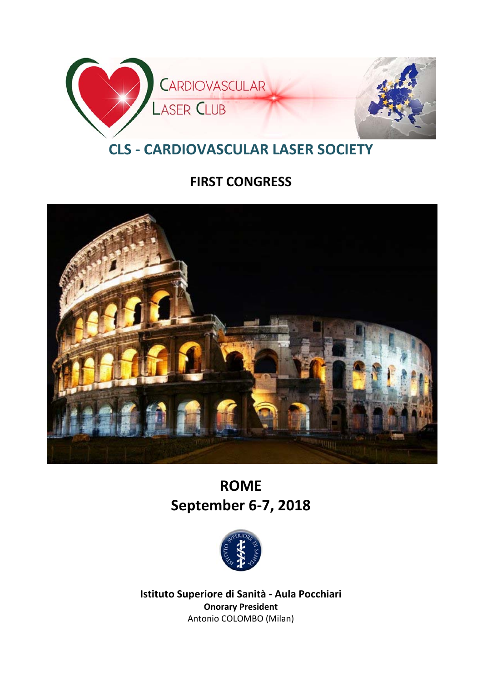

# **CLS ‐ CARDIOVASCULAR LASER SOCIETY**

## **FIRST CONGRESS**



# **ROME September 6‐7, 2018**



**Istituto Superiore di Sanità ‐ Aula Pocchiari Onorary President** Antonio COLOMBO (Milan)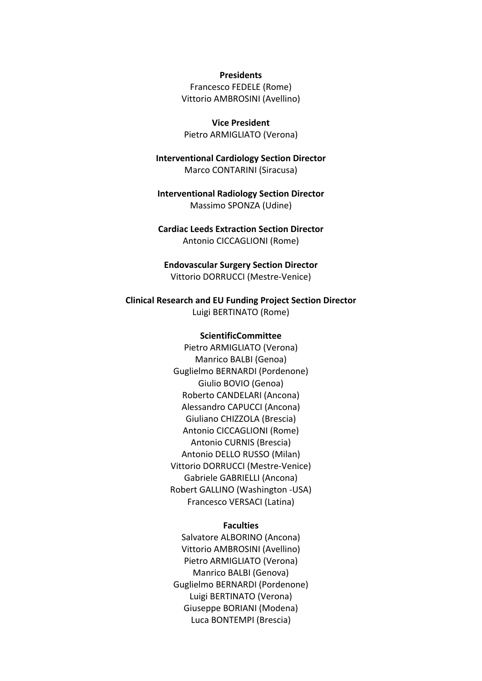**Presidents** Francesco FEDELE (Rome) Vittorio AMBROSINI (Avellino)

**Vice President** Pietro ARMIGLIATO (Verona)

**Interventional Cardiology Section Director** Marco CONTARINI (Siracusa)

**Interventional Radiology Section Director** Massimo SPONZA (Udine)

## **Cardiac Leeds Extraction Section Director**

Antonio CICCAGLIONI (Rome)

**Endovascular Surgery Section Director** Vittorio DORRUCCI (Mestre‐Venice)

## **Clinical Research and EU Funding Project Section Director**

Luigi BERTINATO (Rome)

#### **ScientificCommittee**

Pietro ARMIGLIATO (Verona) Manrico BALBI (Genoa) Guglielmo BERNARDI (Pordenone) Giulio BOVIO (Genoa) Roberto CANDELARI (Ancona) Alessandro CAPUCCI (Ancona) Giuliano CHIZZOLA (Brescia) Antonio CICCAGLIONI (Rome) Antonio CURNIS (Brescia) Antonio DELLO RUSSO (Milan) Vittorio DORRUCCI (Mestre‐Venice) Gabriele GABRIELLI (Ancona) Robert GALLINO (Washington ‐USA) Francesco VERSACI (Latina)

#### **Faculties**

Salvatore ALBORINO (Ancona) Vittorio AMBROSINI (Avellino) Pietro ARMIGLIATO (Verona) Manrico BALBI (Genova) Guglielmo BERNARDI (Pordenone) Luigi BERTINATO (Verona) Giuseppe BORIANI (Modena) Luca BONTEMPI (Brescia)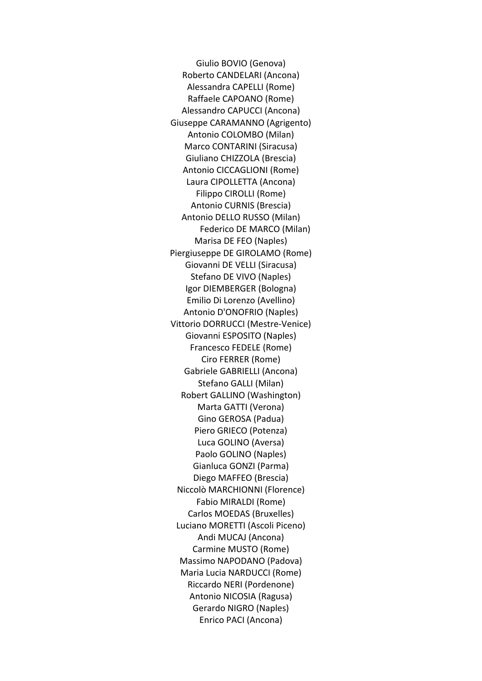Giulio BOVIO (Genova) Roberto CANDELARI (Ancona) Alessandra CAPELLI (Rome) Raffaele CAPOANO (Rome) Alessandro CAPUCCI (Ancona) Giuseppe CARAMANNO (Agrigento) Antonio COLOMBO (Milan) Marco CONTARINI (Siracusa) Giuliano CHIZZOLA (Brescia) Antonio CICCAGLIONI (Rome) Laura CIPOLLETTA (Ancona) Filippo CIROLLI (Rome) Antonio CURNIS (Brescia) Antonio DELLO RUSSO (Milan) Federico DE MARCO (Milan) Marisa DE FEO (Naples) Piergiuseppe DE GIROLAMO (Rome) Giovanni DE VELLI (Siracusa) Stefano DE VIVO (Naples) Igor DIEMBERGER (Bologna) Emilio Di Lorenzo (Avellino) Antonio D'ONOFRIO (Naples) Vittorio DORRUCCI (Mestre‐Venice) Giovanni ESPOSITO (Naples) Francesco FEDELE (Rome) Ciro FERRER (Rome) Gabriele GABRIELLI (Ancona) Stefano GALLI (Milan) Robert GALLINO (Washington) Marta GATTI (Verona) Gino GEROSA (Padua) Piero GRIECO (Potenza) Luca GOLINO (Aversa) Paolo GOLINO (Naples) Gianluca GONZI (Parma) Diego MAFFEO (Brescia) Niccolò MARCHIONNI (Florence) Fabio MIRALDI (Rome) Carlos MOEDAS (Bruxelles) Luciano MORETTI (Ascoli Piceno) Andi MUCAJ (Ancona) Carmine MUSTO (Rome) Massimo NAPODANO (Padova) Maria Lucia NARDUCCI (Rome) Riccardo NERI (Pordenone) Antonio NICOSIA (Ragusa) Gerardo NIGRO (Naples) Enrico PACI (Ancona)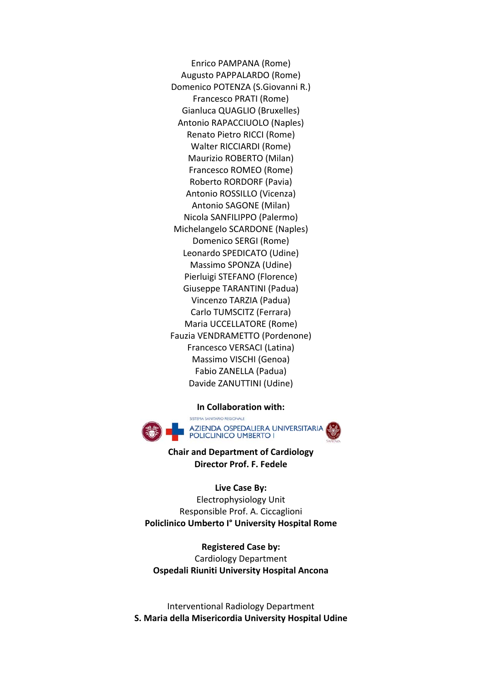Enrico PAMPANA (Rome) Augusto PAPPALARDO (Rome) Domenico POTENZA (S.Giovanni R.) Francesco PRATI (Rome) Gianluca QUAGLIO (Bruxelles) Antonio RAPACCIUOLO (Naples) Renato Pietro RICCI (Rome) Walter RICCIARDI (Rome) Maurizio ROBERTO (Milan) Francesco ROMEO (Rome) Roberto RORDORF (Pavia) Antonio ROSSILLO (Vicenza) Antonio SAGONE (Milan) Nicola SANFILIPPO (Palermo) Michelangelo SCARDONE (Naples) Domenico SERGI (Rome) Leonardo SPEDICATO (Udine) Massimo SPONZA (Udine) Pierluigi STEFANO (Florence) Giuseppe TARANTINI (Padua) Vincenzo TARZIA (Padua) Carlo TUMSCITZ (Ferrara) Maria UCCELLATORE (Rome) Fauzia VENDRAMETTO (Pordenone) Francesco VERSACI (Latina) Massimo VISCHI (Genoa) Fabio ZANELLA (Padua) Davide ZANUTTINI (Udine)

**In Collaboration with:**



**Chair and Department of Cardiology Director Prof. F. Fedele**

**Live Case By:** Electrophysiology Unit Responsible Prof. A. Ciccaglioni **Policlinico Umberto I° University Hospital Rome**

**Registered Case by:** Cardiology Department **Ospedali Riuniti University Hospital Ancona**

Interventional Radiology Department **S. Maria della Misericordia University Hospital Udine**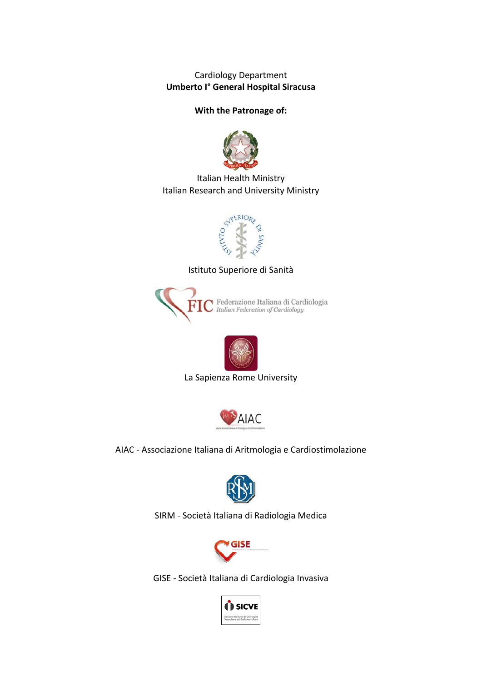Cardiology Department **Umberto I° General Hospital Siracusa**

## **With the Patronage of:**



Italian Health Ministry Italian Research and University Ministry



Istituto Superiore di Sanità





La Sapienza Rome University



AIAC ‐ Associazione Italiana di Aritmologia e Cardiostimolazione



SIRM ‐ Società Italiana di Radiologia Medica



GISE ‐ Società Italiana di Cardiologia Invasiva

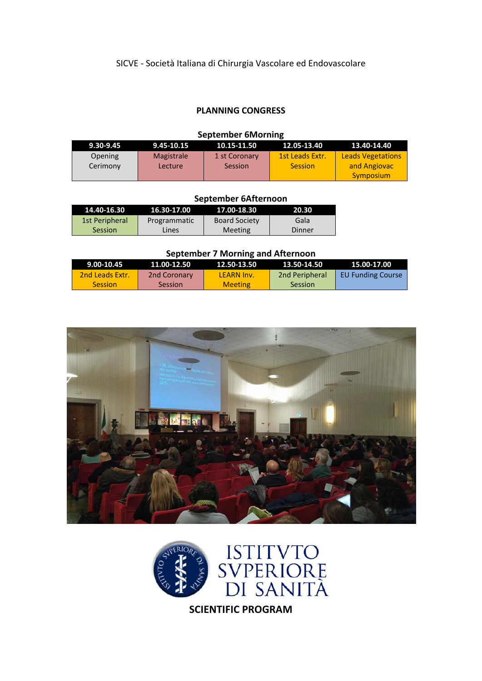## **PLANNING CONGRESS**

| <b>September 6Morning</b> |                |               |                 |                          |  |  |  |
|---------------------------|----------------|---------------|-----------------|--------------------------|--|--|--|
| 9.30-9.45                 | 9.45-10.15     | 10.15-11.50   | 12.05-13.40     | 13.40-14.40              |  |  |  |
| Opening                   | Magistrale     | 1 st Coronary | 1st Leads Extr. | <b>Leads Vegetations</b> |  |  |  |
| Cerimony                  | <b>Lecture</b> | Session       | <b>Session</b>  | and Angiovac             |  |  |  |
|                           |                |               |                 | <b>Symposium</b>         |  |  |  |

#### **September 6Afternoon**

| 14.40-16.30    | 16.30-17.00  | 17.00-18.30          | 20.30  |
|----------------|--------------|----------------------|--------|
| 1st Peripheral | Programmatic | <b>Board Society</b> | Gala   |
| <b>Session</b> | Lines        | Meeting              | Dinner |

## **September 7 Morning and Afternoon**

| $9.00 - 10.45$  | 11.00-12.50    | 12.50-13.50    | 13.50-14.50           | 15.00-17.00              |
|-----------------|----------------|----------------|-----------------------|--------------------------|
| 2nd Leads Extr. | 2nd Coronary   | LFARN Inv.     | <b>2nd Peripheral</b> | <b>EU Funding Course</b> |
| <b>Session</b>  | <b>Session</b> | <b>Meeting</b> | <b>Session</b>        |                          |





**SCIENTIFIC PROGRAM**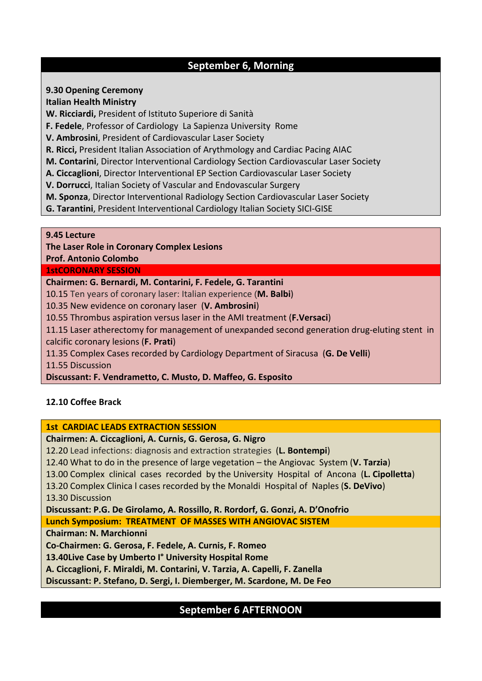## **September 6, Morning**

**9.30 Opening Ceremony**

**Italian Health Ministry**

**W. Ricciardi,** President of Istituto Superiore di Sanità

**F. Fedele**, Professor of Cardiology La Sapienza University Rome

**V. Ambrosini**, President of Cardiovascular Laser Society

**R. Ricci,** President Italian Association of Arythmology and Cardiac Pacing AIAC

**M. Contarini**, Director Interventional Cardiology Section Cardiovascular Laser Society

**A. Ciccaglioni**, Director Interventional EP Section Cardiovascular Laser Society

**V. Dorrucci**, Italian Society of Vascular and Endovascular Surgery

**M. Sponza**, Director Interventional Radiology Section Cardiovascular Laser Society

**G. Tarantini**, President Interventional Cardiology Italian Society SICI‐GISE

**9.45 Lecture**

**The Laser Role in Coronary Complex Lesions**

**Prof. Antonio Colombo** 

**1stCORONARY SESSION**

**Chairmen: G. Bernardi, M. Contarini, F. Fedele, G. Tarantini**

10.15 Ten years of coronary laser: Italian experience (**M. Balbi**)

10.35 New evidence on coronary laser (**V. Ambrosini**)

10.55 Thrombus aspiration versus laser in the AMI treatment (**F.Versaci**)

11.15 Laser atherectomy for management of unexpanded second generation drug‐eluting stent in calcific coronary lesions (**F. Prati**)

11.35 Complex Cases recorded by Cardiology Department of Siracusa (**G. De Velli**)

11.55 Discussion

**Discussant: F. Vendrametto, C. Musto, D. Maffeo, G. Esposito**

## **12.10 Coffee Brack**

**1st CARDIAC LEADS EXTRACTION SESSION**

**Chairmen: A. Ciccaglioni, A. Curnis, G. Gerosa, G. Nigro**

12.20 Lead infections: diagnosis and extraction strategies (**L. Bontempi**)

12.40 What to do in the presence of large vegetation – the Angiovac System (**V. Tarzia**)

13.00 Complex clinical cases recorded by the University Hospital of Ancona (**L. Cipolletta**)

13.20 Complex Clinica l cases recorded by the Monaldi Hospital of Naples (**S. DeVivo**) 13.30 Discussion

**Discussant: P.G. De Girolamo, A. Rossillo, R. Rordorf, G. Gonzi, A. D'Onofrio**

**Lunch Symposium: TREATMENT OF MASSES WITH ANGIOVAC SISTEM**

**Chairman: N. Marchionni**

**Co‐Chairmen: G. Gerosa, F. Fedele, A. Curnis, F. Romeo**

**13.40Live Case by Umberto I° University Hospital Rome** 

**A. Ciccaglioni, F. Miraldi, M. Contarini, V. Tarzia, A. Capelli, F. Zanella**

**Discussant: P. Stefano, D. Sergi, I. Diemberger, M. Scardone, M. De Feo**

## **September 6 AFTERNOON**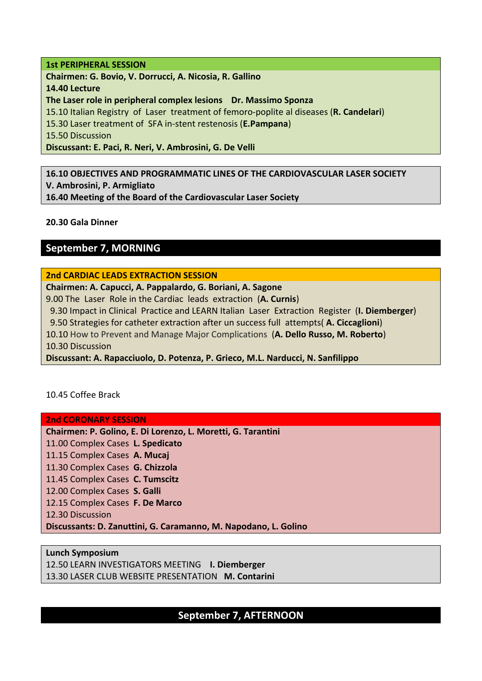## **1st PERIPHERAL SESSION**

**Chairmen: G. Bovio, V. Dorrucci, A. Nicosia, R. Gallino 14.40 Lecture The Laser role in peripheral complex lesions Dr. Massimo Sponza** 15.10 Italian Registry of Laser treatment of femoro‐poplite al diseases (**R. Candelari**) 15.30 Laser treatment of SFA in‐stent restenosis (**E.Pampana**) 15.50 Discussion **Discussant: E. Paci, R. Neri, V. Ambrosini, G. De Velli**

**16.10 OBJECTIVES AND PROGRAMMATIC LINES OF THE CARDIOVASCULAR LASER SOCIETY V. Ambrosini, P. Armigliato 16.40 Meeting of the Board of the Cardiovascular Laser Society**

**20.30 Gala Dinner**

## **September 7, MORNING**

## **2nd CARDIAC LEADS EXTRACTION SESSION**

**Chairmen: A. Capucci, A. Pappalardo, G. Boriani, A. Sagone**

9.00 The Laser Role in the Cardiac leads extraction (**A. Curnis**)

9.30 Impact in Clinical Practice and LEARN Italian Laser Extraction Register (**I. Diemberger**)

9.50 Strategies for catheter extraction after un success full attempts( **A. Ciccaglioni**)

10.10 How to Prevent and Manage Major Complications (**A. Dello Russo, M. Roberto**)

10.30 Discussion

**Discussant: A. Rapacciuolo, D. Potenza, P. Grieco, M.L. Narducci, N. Sanfilippo**

10.45 Coffee Brack

## **2nd CORONARY SESSION**

**Chairmen: P. Golino, E. Di Lorenzo, L. Moretti, G. Tarantini**

11.00 Complex Cases **L. Spedicato**

11.15 Complex Cases **A. Mucaj**

11.30 Complex Cases **G. Chizzola**

11.45 Complex Cases **C. Tumscitz**

12.00 Complex Cases **S. Galli**

12.15 Complex Cases **F. De Marco**

12.30 Discussion

**Discussants: D. Zanuttini, G. Caramanno, M. Napodano, L. Golino**

**Lunch Symposium** 12.50 LEARN INVESTIGATORS MEETING **I. Diemberger** 13.30 LASER CLUB WEBSITE PRESENTATION **M. Contarini**

## **September 7, AFTERNOON**